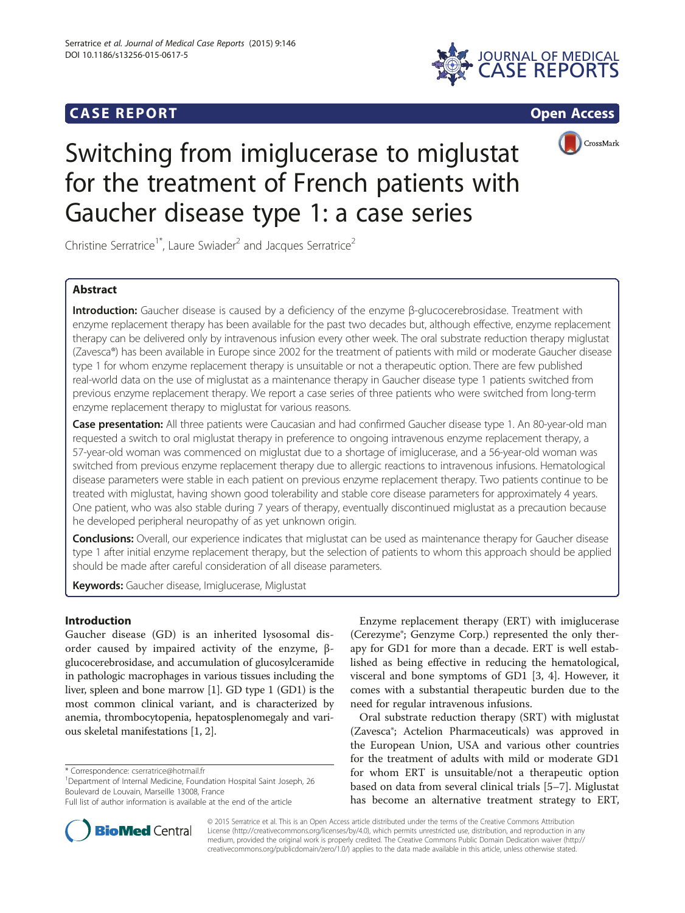# **CASE REPORT CASE REPORT**





# Switching from imiglucerase to miglustat for the treatment of French patients with Gaucher disease type 1: a case series

Christine Serratrice<sup>1\*</sup>, Laure Swiader<sup>2</sup> and Jacques Serratrice<sup>2</sup>

## Abstract

Introduction: Gaucher disease is caused by a deficiency of the enzyme β-glucocerebrosidase. Treatment with enzyme replacement therapy has been available for the past two decades but, although effective, enzyme replacement therapy can be delivered only by intravenous infusion every other week. The oral substrate reduction therapy miglustat (Zavesca®) has been available in Europe since 2002 for the treatment of patients with mild or moderate Gaucher disease type 1 for whom enzyme replacement therapy is unsuitable or not a therapeutic option. There are few published real-world data on the use of miglustat as a maintenance therapy in Gaucher disease type 1 patients switched from previous enzyme replacement therapy. We report a case series of three patients who were switched from long-term enzyme replacement therapy to miglustat for various reasons.

Case presentation: All three patients were Caucasian and had confirmed Gaucher disease type 1. An 80-year-old man requested a switch to oral miglustat therapy in preference to ongoing intravenous enzyme replacement therapy, a 57-year-old woman was commenced on miglustat due to a shortage of imiglucerase, and a 56-year-old woman was switched from previous enzyme replacement therapy due to allergic reactions to intravenous infusions. Hematological disease parameters were stable in each patient on previous enzyme replacement therapy. Two patients continue to be treated with miglustat, having shown good tolerability and stable core disease parameters for approximately 4 years. One patient, who was also stable during 7 years of therapy, eventually discontinued miglustat as a precaution because he developed peripheral neuropathy of as yet unknown origin.

Conclusions: Overall, our experience indicates that miglustat can be used as maintenance therapy for Gaucher disease type 1 after initial enzyme replacement therapy, but the selection of patients to whom this approach should be applied should be made after careful consideration of all disease parameters.

Keywords: Gaucher disease, Imiglucerase, Miglustat

### Introduction

Gaucher disease (GD) is an inherited lysosomal disorder caused by impaired activity of the enzyme, βglucocerebrosidase, and accumulation of glucosylceramide in pathologic macrophages in various tissues including the liver, spleen and bone marrow [[1](#page-4-0)]. GD type 1 (GD1) is the most common clinical variant, and is characterized by anemia, thrombocytopenia, hepatosplenomegaly and various skeletal manifestations [[1, 2](#page-4-0)].

\* Correspondence: [cserratrice@hotmail.fr](mailto:cserratrice@hotmail.fr) <sup>1</sup>

<sup>1</sup>Department of Internal Medicine, Foundation Hospital Saint Joseph, 26 Boulevard de Louvain, Marseille 13008, France

Enzyme replacement therapy (ERT) with imiglucerase (Cerezyme®; Genzyme Corp.) represented the only therapy for GD1 for more than a decade. ERT is well established as being effective in reducing the hematological, visceral and bone symptoms of GD1 [[3, 4\]](#page-4-0). However, it comes with a substantial therapeutic burden due to the need for regular intravenous infusions.

Oral substrate reduction therapy (SRT) with miglustat (Zavesca®; Actelion Pharmaceuticals) was approved in the European Union, USA and various other countries for the treatment of adults with mild or moderate GD1 for whom ERT is unsuitable/not a therapeutic option based on data from several clinical trials [[5](#page-4-0)–[7\]](#page-4-0). Miglustat has become an alternative treatment strategy to ERT,



© 2015 Serratrice et al. This is an Open Access article distributed under the terms of the Creative Commons Attribution License (<http://creativecommons.org/licenses/by/4.0>), which permits unrestricted use, distribution, and reproduction in any medium, provided the original work is properly credited. The Creative Commons Public Domain Dedication waiver [\(http://](http://creativecommons.org/publicdomain/zero/1.0/) [creativecommons.org/publicdomain/zero/1.0/\)](http://creativecommons.org/publicdomain/zero/1.0/) applies to the data made available in this article, unless otherwise stated.

Full list of author information is available at the end of the article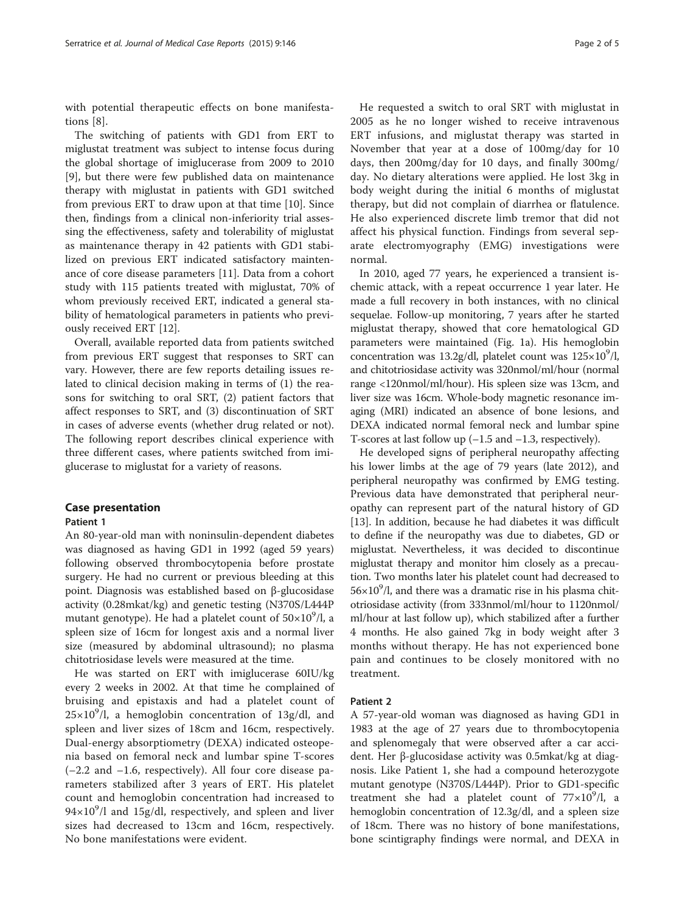with potential therapeutic effects on bone manifestations [\[8](#page-4-0)].

The switching of patients with GD1 from ERT to miglustat treatment was subject to intense focus during the global shortage of imiglucerase from 2009 to 2010 [[9\]](#page-4-0), but there were few published data on maintenance therapy with miglustat in patients with GD1 switched from previous ERT to draw upon at that time [[10](#page-4-0)]. Since then, findings from a clinical non-inferiority trial assessing the effectiveness, safety and tolerability of miglustat as maintenance therapy in 42 patients with GD1 stabilized on previous ERT indicated satisfactory maintenance of core disease parameters [\[11\]](#page-4-0). Data from a cohort study with 115 patients treated with miglustat, 70% of whom previously received ERT, indicated a general stability of hematological parameters in patients who previously received ERT [\[12](#page-4-0)].

Overall, available reported data from patients switched from previous ERT suggest that responses to SRT can vary. However, there are few reports detailing issues related to clinical decision making in terms of (1) the reasons for switching to oral SRT, (2) patient factors that affect responses to SRT, and (3) discontinuation of SRT in cases of adverse events (whether drug related or not). The following report describes clinical experience with three different cases, where patients switched from imiglucerase to miglustat for a variety of reasons.

#### Case presentation

#### Patient 1

An 80-year-old man with noninsulin-dependent diabetes was diagnosed as having GD1 in 1992 (aged 59 years) following observed thrombocytopenia before prostate surgery. He had no current or previous bleeding at this point. Diagnosis was established based on β-glucosidase activity (0.28mkat/kg) and genetic testing (N370S/L444P mutant genotype). He had a platelet count of 50×10<sup>9</sup>/l, a spleen size of 16cm for longest axis and a normal liver size (measured by abdominal ultrasound); no plasma chitotriosidase levels were measured at the time.

He was started on ERT with imiglucerase 60IU/kg every 2 weeks in 2002. At that time he complained of bruising and epistaxis and had a platelet count of  $25\times10^9$ /l, a hemoglobin concentration of 13g/dl, and spleen and liver sizes of 18cm and 16cm, respectively. Dual-energy absorptiometry (DEXA) indicated osteopenia based on femoral neck and lumbar spine T-scores (–2.2 and –1.6, respectively). All four core disease parameters stabilized after 3 years of ERT. His platelet count and hemoglobin concentration had increased to  $94 \times 10^9$ /l and 15g/dl, respectively, and spleen and liver sizes had decreased to 13cm and 16cm, respectively. No bone manifestations were evident.

He requested a switch to oral SRT with miglustat in 2005 as he no longer wished to receive intravenous ERT infusions, and miglustat therapy was started in November that year at a dose of 100mg/day for 10 days, then 200mg/day for 10 days, and finally 300mg/ day. No dietary alterations were applied. He lost 3kg in body weight during the initial 6 months of miglustat therapy, but did not complain of diarrhea or flatulence. He also experienced discrete limb tremor that did not affect his physical function. Findings from several separate electromyography (EMG) investigations were normal.

In 2010, aged 77 years, he experienced a transient ischemic attack, with a repeat occurrence 1 year later. He made a full recovery in both instances, with no clinical sequelae. Follow-up monitoring, 7 years after he started miglustat therapy, showed that core hematological GD parameters were maintained (Fig. [1a](#page-2-0)). His hemoglobin concentration was 13.2g/dl, platelet count was  $125\times10^{9}$ /l, and chitotriosidase activity was 320nmol/ml/hour (normal range <120nmol/ml/hour). His spleen size was 13cm, and liver size was 16cm. Whole-body magnetic resonance imaging (MRI) indicated an absence of bone lesions, and DEXA indicated normal femoral neck and lumbar spine T-scores at last follow up (–1.5 and –1.3, respectively).

He developed signs of peripheral neuropathy affecting his lower limbs at the age of 79 years (late 2012), and peripheral neuropathy was confirmed by EMG testing. Previous data have demonstrated that peripheral neuropathy can represent part of the natural history of GD [[13\]](#page-4-0). In addition, because he had diabetes it was difficult to define if the neuropathy was due to diabetes, GD or miglustat. Nevertheless, it was decided to discontinue miglustat therapy and monitor him closely as a precaution. Two months later his platelet count had decreased to  $56\times10^{9}$ /l, and there was a dramatic rise in his plasma chitotriosidase activity (from 333nmol/ml/hour to 1120nmol/ ml/hour at last follow up), which stabilized after a further 4 months. He also gained 7kg in body weight after 3 months without therapy. He has not experienced bone pain and continues to be closely monitored with no treatment.

#### Patient 2

A 57-year-old woman was diagnosed as having GD1 in 1983 at the age of 27 years due to thrombocytopenia and splenomegaly that were observed after a car accident. Her β-glucosidase activity was 0.5mkat/kg at diagnosis. Like Patient 1, she had a compound heterozygote mutant genotype (N370S/L444P). Prior to GD1-specific treatment she had a platelet count of  $77 \times 10^9$ /l, a hemoglobin concentration of 12.3g/dl, and a spleen size of 18cm. There was no history of bone manifestations, bone scintigraphy findings were normal, and DEXA in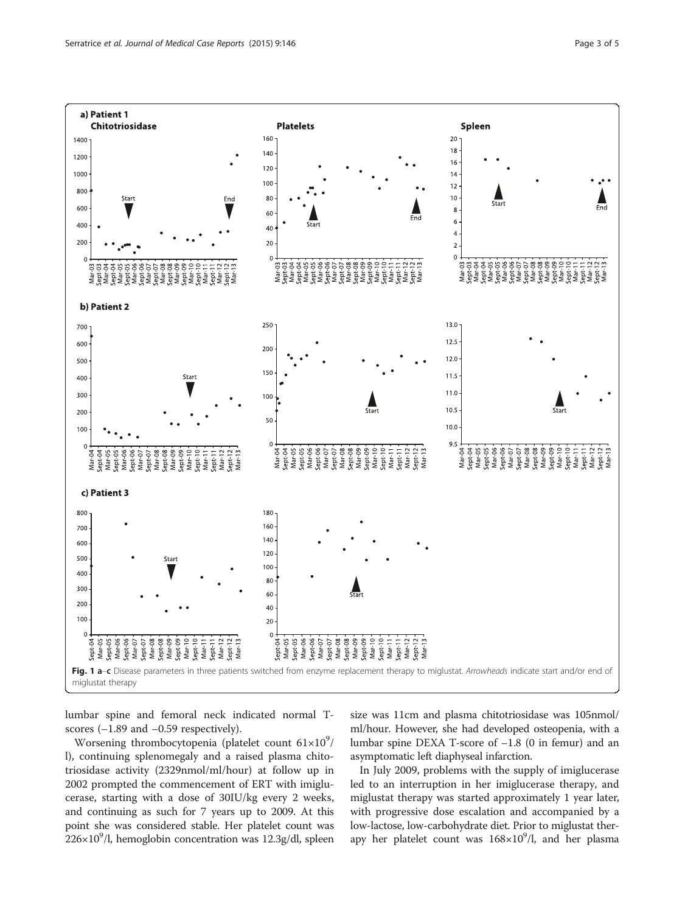<span id="page-2-0"></span>

lumbar spine and femoral neck indicated normal Tscores (–1.89 and –0.59 respectively).

Worsening thrombocytopenia (platelet count  $61\times10^9/$ l), continuing splenomegaly and a raised plasma chitotriosidase activity (2329nmol/ml/hour) at follow up in 2002 prompted the commencement of ERT with imiglucerase, starting with a dose of 30IU/kg every 2 weeks, and continuing as such for 7 years up to 2009. At this point she was considered stable. Her platelet count was  $226\times10^{9}$ /l, hemoglobin concentration was  $12.3$ g/dl, spleen

size was 11cm and plasma chitotriosidase was 105nmol/ ml/hour. However, she had developed osteopenia, with a lumbar spine DEXA T-score of –1.8 (0 in femur) and an asymptomatic left diaphyseal infarction.

In July 2009, problems with the supply of imiglucerase led to an interruption in her imiglucerase therapy, and miglustat therapy was started approximately 1 year later, with progressive dose escalation and accompanied by a low-lactose, low-carbohydrate diet. Prior to miglustat therapy her platelet count was  $168 \times 10^9$ /l, and her plasma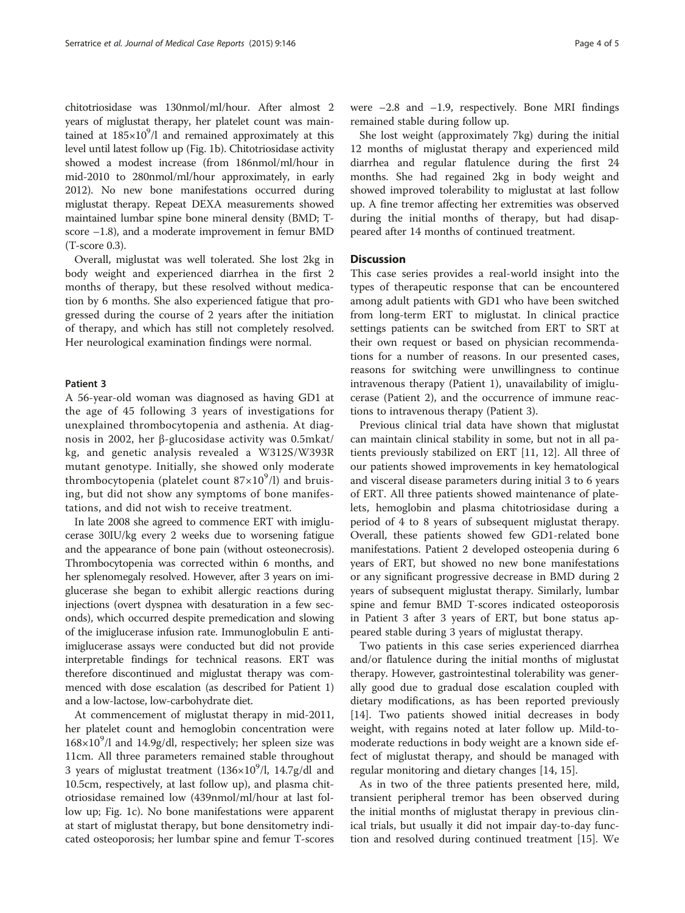chitotriosidase was 130nmol/ml/hour. After almost 2 years of miglustat therapy, her platelet count was maintained at  $185\times10^9$ /l and remained approximately at this level until latest follow up (Fig. [1b\)](#page-2-0). Chitotriosidase activity showed a modest increase (from 186nmol/ml/hour in mid-2010 to 280nmol/ml/hour approximately, in early 2012). No new bone manifestations occurred during miglustat therapy. Repeat DEXA measurements showed maintained lumbar spine bone mineral density (BMD; Tscore –1.8), and a moderate improvement in femur BMD (T-score 0.3).

Overall, miglustat was well tolerated. She lost 2kg in body weight and experienced diarrhea in the first 2 months of therapy, but these resolved without medication by 6 months. She also experienced fatigue that progressed during the course of 2 years after the initiation of therapy, and which has still not completely resolved. Her neurological examination findings were normal.

#### Patient 3

A 56-year-old woman was diagnosed as having GD1 at the age of 45 following 3 years of investigations for unexplained thrombocytopenia and asthenia. At diagnosis in 2002, her β-glucosidase activity was 0.5mkat/ kg, and genetic analysis revealed a W312S/W393R mutant genotype. Initially, she showed only moderate thrombocytopenia (platelet count 87×10<sup>9</sup>/l) and bruising, but did not show any symptoms of bone manifestations, and did not wish to receive treatment.

In late 2008 she agreed to commence ERT with imiglucerase 30IU/kg every 2 weeks due to worsening fatigue and the appearance of bone pain (without osteonecrosis). Thrombocytopenia was corrected within 6 months, and her splenomegaly resolved. However, after 3 years on imiglucerase she began to exhibit allergic reactions during injections (overt dyspnea with desaturation in a few seconds), which occurred despite premedication and slowing of the imiglucerase infusion rate. Immunoglobulin E antiimiglucerase assays were conducted but did not provide interpretable findings for technical reasons. ERT was therefore discontinued and miglustat therapy was commenced with dose escalation (as described for Patient 1) and a low-lactose, low-carbohydrate diet.

At commencement of miglustat therapy in mid-2011, her platelet count and hemoglobin concentration were  $168\times10^{9}$ /l and 14.9g/dl, respectively; her spleen size was 11cm. All three parameters remained stable throughout 3 years of miglustat treatment  $(136\times10^9)$ l, 14.7g/dl and 10.5cm, respectively, at last follow up), and plasma chitotriosidase remained low (439nmol/ml/hour at last follow up; Fig. [1c](#page-2-0)). No bone manifestations were apparent at start of miglustat therapy, but bone densitometry indicated osteoporosis; her lumbar spine and femur T-scores were  $-2.8$  and  $-1.9$ , respectively. Bone MRI findings remained stable during follow up.

She lost weight (approximately 7kg) during the initial 12 months of miglustat therapy and experienced mild diarrhea and regular flatulence during the first 24 months. She had regained 2kg in body weight and showed improved tolerability to miglustat at last follow up. A fine tremor affecting her extremities was observed during the initial months of therapy, but had disappeared after 14 months of continued treatment.

#### **Discussion**

This case series provides a real-world insight into the types of therapeutic response that can be encountered among adult patients with GD1 who have been switched from long-term ERT to miglustat. In clinical practice settings patients can be switched from ERT to SRT at their own request or based on physician recommendations for a number of reasons. In our presented cases, reasons for switching were unwillingness to continue intravenous therapy (Patient 1), unavailability of imiglucerase (Patient 2), and the occurrence of immune reactions to intravenous therapy (Patient 3).

Previous clinical trial data have shown that miglustat can maintain clinical stability in some, but not in all patients previously stabilized on ERT [\[11](#page-4-0), [12\]](#page-4-0). All three of our patients showed improvements in key hematological and visceral disease parameters during initial 3 to 6 years of ERT. All three patients showed maintenance of platelets, hemoglobin and plasma chitotriosidase during a period of 4 to 8 years of subsequent miglustat therapy. Overall, these patients showed few GD1-related bone manifestations. Patient 2 developed osteopenia during 6 years of ERT, but showed no new bone manifestations or any significant progressive decrease in BMD during 2 years of subsequent miglustat therapy. Similarly, lumbar spine and femur BMD T-scores indicated osteoporosis in Patient 3 after 3 years of ERT, but bone status appeared stable during 3 years of miglustat therapy.

Two patients in this case series experienced diarrhea and/or flatulence during the initial months of miglustat therapy. However, gastrointestinal tolerability was generally good due to gradual dose escalation coupled with dietary modifications, as has been reported previously [[14\]](#page-4-0). Two patients showed initial decreases in body weight, with regains noted at later follow up. Mild-tomoderate reductions in body weight are a known side effect of miglustat therapy, and should be managed with regular monitoring and dietary changes [\[14](#page-4-0), [15](#page-4-0)].

As in two of the three patients presented here, mild, transient peripheral tremor has been observed during the initial months of miglustat therapy in previous clinical trials, but usually it did not impair day-to-day function and resolved during continued treatment [\[15\]](#page-4-0). We